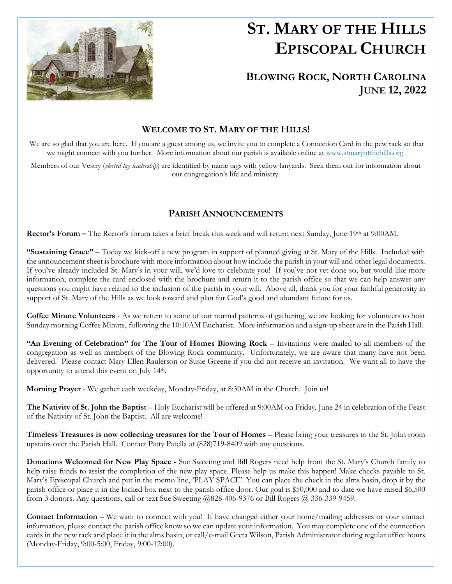

l.

# **ST. MARY OF THE HILLS EPISCOPAL CHURCH**

## **BLOWING ROCK, NORTH CAROLINA JUNE 12, 2022**

## **WELCOME TO ST. MARY OF THE HILLS!**

We are so glad that you are here. If you are a guest among us, we invite you to complete a Connection Card in the pew rack so that we might connect with you further. More information about our parish is available online at [www.stmaryofthehills.org.](http://www.stmaryofthehills.org/)

Members of our Vestry (*elected lay leadership*) are identified by name tags with yellow lanyards. Seek them out for information about our congregation's life and ministry.

## **PARISH ANNOUNCEMENTS**

**Rector's Forum –** The Rector's forum takes a brief break this week and will return next Sunday, June 19th at 9:00AM.

**"Sustaining Grace"** – Today we kick-off a new program in support of planned giving at St. Mary of the Hills. Included with the announcement sheet is brochure with more information about how include the parish in your will and other legal documents. If you've already included St. Mary's in your will, we'd love to celebrate you! If you've not yet done so, but would like more information, complete the card enclosed with the brochure and return it to the parish office so that we can help answer any questions you might have related to the inclusion of the parish in your will. Above all, thank you for your faithful generosity in support of St. Mary of the Hills as we look toward and plan for God's good and abundant future for us.

**Coffee Minute Volunteers** - As we return to some of our normal patterns of gathering, we are looking for volunteers to host Sunday morning Coffee Minute, following the 10:10AM Eucharist. More information and a sign-up sheet are in the Parish Hall.

**"An Evening of Celebration" for The Tour of Homes Blowing Rock** – Invitations were mailed to all members of the congregation as well as members of the Blowing Rock community. Unfortunately, we are aware that many have not been delivered. Please contact Mary Ellen Raulerson or Susie Greene if you did not receive an invitation. We want all to have the opportunity to attend this event on July 14th.

**Morning Prayer** - We gather each weekday, Monday-Friday, at 8:30AM in the Church. Join us!

**The Nativity of St. John the Baptist** – Holy Eucharist will be offered at 9:00AM on Friday, June 24 in celebration of the Feast of the Nativity of St. John the Baptist. All are welcome!

**Timeless Treasures is now collecting treasures for the Tour of Homes** – Please bring your treasures to the St. John room upstairs over the Parish Hall. Contact Patty Patella at (828)719-8409 with any questions.

**Donations Welcomed for New Play Space -** Sue Sweeting and Bill Rogers need help from the St. Mary's Church family to help raise funds to assist the completion of the new play space. Please help us make this happen! Make checks payable to St. Mary's Episcopal Church and put in the memo line, 'PLAY SPACE'. You can place the check in the alms basin, drop it by the parish office or place it in the locked box next to the parish office door. Our goal is \$50,000 and to date we have raised \$6,500 from 3 donors. Any questions, call or text Sue Sweeting @828-406-9376 or Bill Rogers @ 336-339-9459.

**Contact Information** – We want to connect with you! If have changed either your home/mailing addresses or your contact information, please contact the parish office know so we can update your information. You may complete one of the connection cards in the pew rack and place it in the alms basin, or call/e-mail Greta Wilson, Parish Administrator during regular office hours (Monday-Friday, 9:00-5:00, Friday, 9:00-12:00).